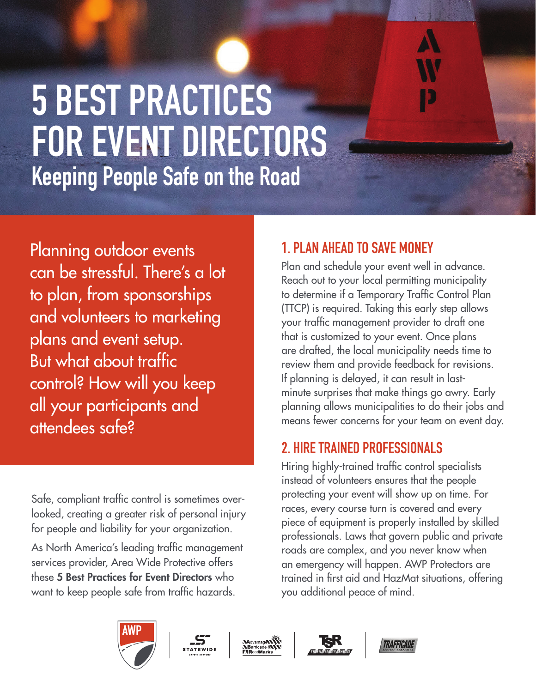# **5 BEST PRACTICES FOR EVENT DIRECTORS Keeping People Safe on the Road**

Planning outdoor events can be stressful. There's a lot to plan, from sponsorships and volunteers to marketing plans and event setup. But what about traffic control? How will you keep all your participants and attendees safe?

Safe, compliant traffic control is sometimes overlooked, creating a greater risk of personal injury for people and liability for your organization.

As North America's leading traffic management services provider, Area Wide Protective offers these 5 Best Practices for Event Directors who want to keep people safe from traffic hazards.

## **1. PLAN AHEAD TO SAVE MONEY**

Plan and schedule your event well in advance. Reach out to your local permitting municipality to determine if a Temporary Traffic Control Plan (TTCP) is required. Taking this early step allows your traffic management provider to draft one that is customized to your event. Once plans are drafted, the local municipality needs time to review them and provide feedback for revisions. If planning is delayed, it can result in lastminute surprises that make things go awry. Early planning allows municipalities to do their jobs and means fewer concerns for your team on event day.

## **2. HIRE TRAINED PROFESSIONALS**

Hiring highly-trained traffic control specialists instead of volunteers ensures that the people protecting your event will show up on time. For races, every course turn is covered and every piece of equipment is properly installed by skilled professionals. Laws that govern public and private roads are complex, and you never know when an emergency will happen. AWP Protectors are trained in first aid and HazMat situations, offering you additional peace of mind.